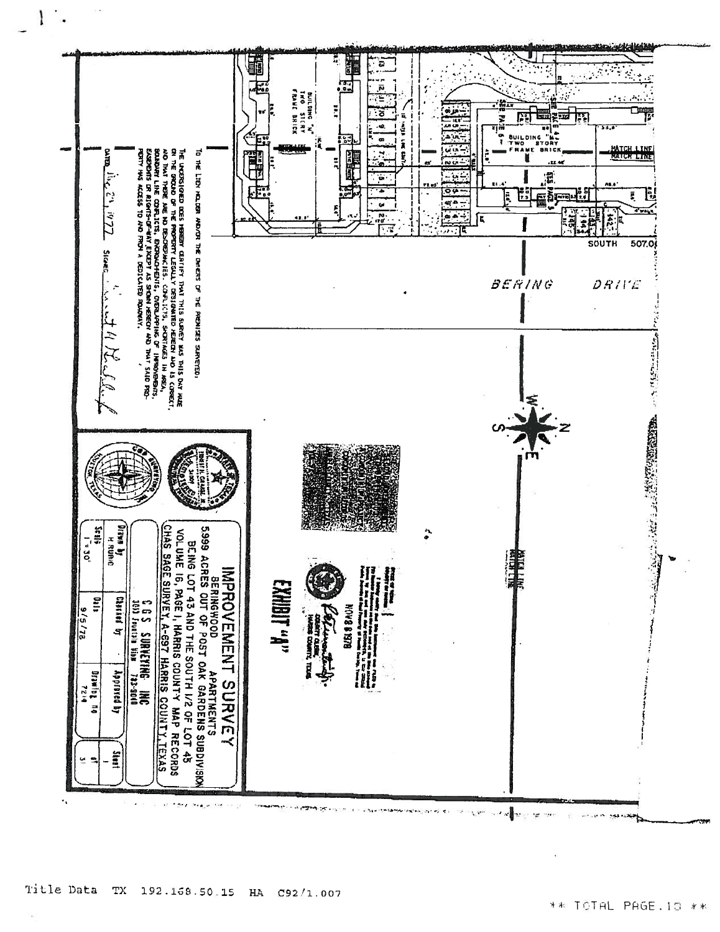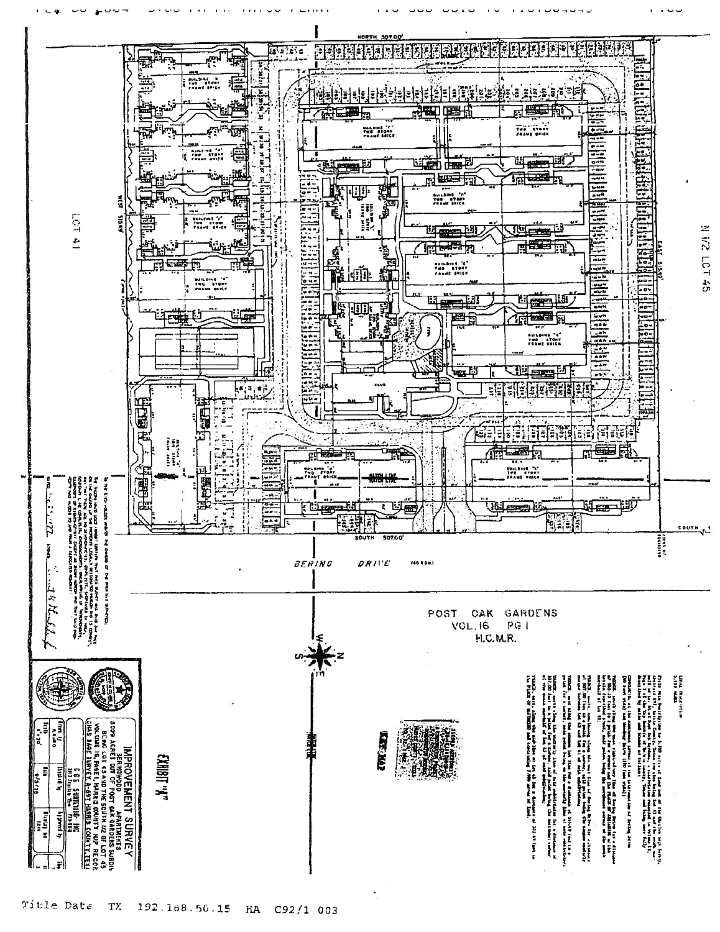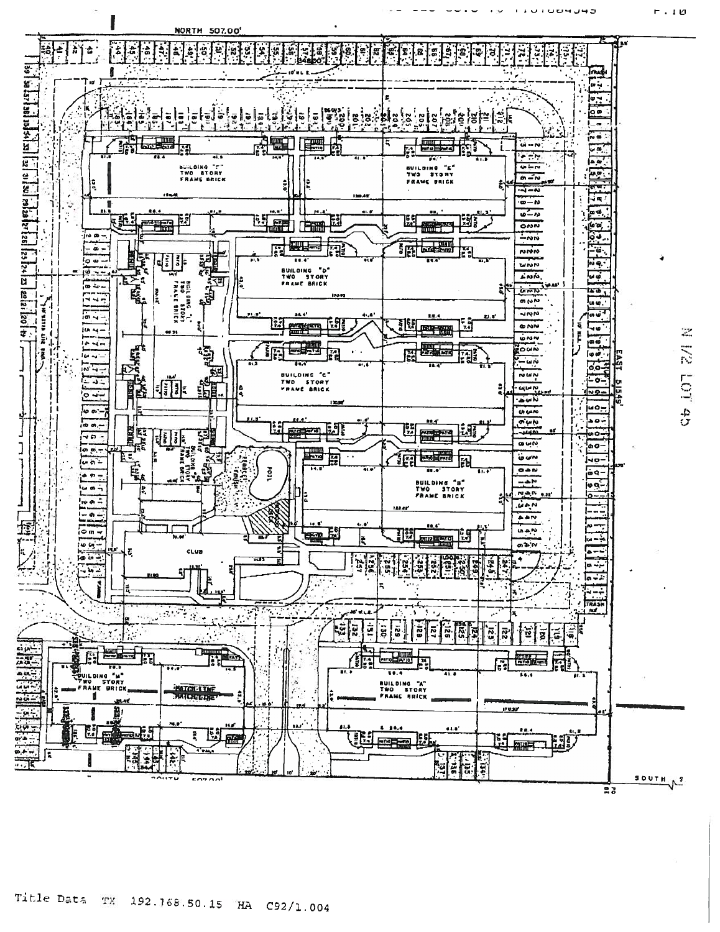

Title Data TX 192.168.50.15 HA C92/1.004

**UTUPUHU** 

**r.10**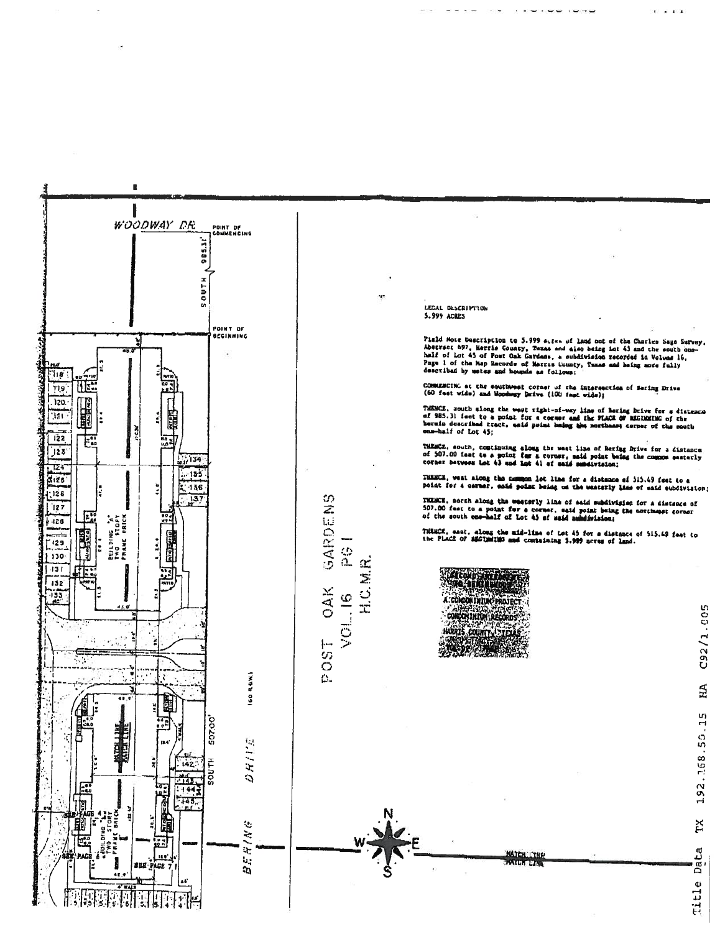